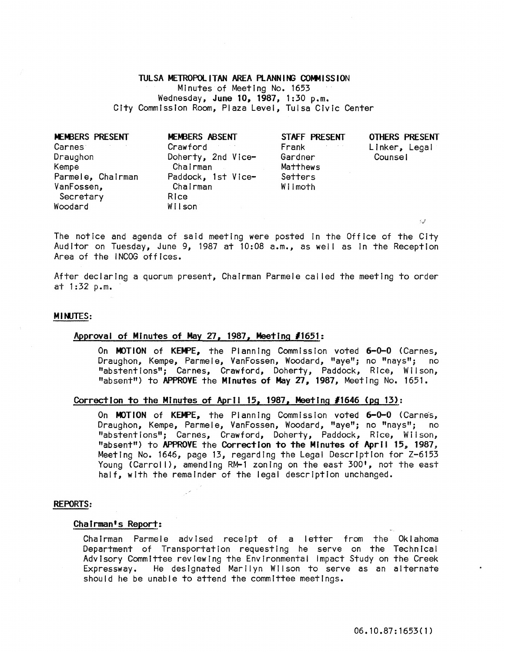# TULSA METROPOLITAN AREA PLANNING COMMISSION

Minutes of Meeting No. 1653 Wednesday, June 10, 1987, 1:30 p.m. City Commission Room, Plaza Level, Tulsa Civic Center

| <b>MEMBERS PRESENT</b> | MEMBERS ABSENT     | STAFF PRESENT                      | <b>OTHERS PRESENT</b> |
|------------------------|--------------------|------------------------------------|-----------------------|
| <b>Carnes</b>          | Crawford           | Frank<br>$\sigma_{\rm{eff}}=0.000$ | Linker, Legal         |
| Draughon               | Doherty, 2nd Vice- | Gardner                            | Counsel               |
| Kempe                  | Chairman           | Matthews                           |                       |
| Parmele, Chairman      | Paddock, 1st Vice- | Setters                            |                       |
| VanFossen,             | Chairman           | Wilmoth                            |                       |
| Secretary              | Rice               |                                    |                       |
| Woodard                | Wilson             |                                    |                       |
|                        |                    |                                    |                       |

The notice and agenda of said meeting were posted in the Office of the City Auditor on Tuesday, June 9, 1987 at 10:08 a.m., as well as in the Reception Area of the INCOG offices.

After declaring a quorum present, Chairman Parmele cal led the meeting to order at 1 :32 p.m.

# MINJTES:

# Approval of Minutes of May 27, 1987, Meeting *11651:*

On MOTION of KEMPE, the Planning Commission voted 6-0-0 (Carnes, Draughon, Kempe, Parmele, VanFossen, Woodard, "aye"; no "nays"; no "abstentions"; Carnes, Crawford, Doherty, Paddock, Rice, Wilson, "absent") to APPROVE the Minutes of May 27, 1987, Meeting No. 1651.

## Correction to the Minutes of April 15, 1987, MeetIng *11646* (pg 13):

On MOTION of KEMPE, the Planning Commission voted 6-0-0 (Carnes, Draughon, Kempe, Parmele, VanFossen, Woodard, "aye"; no "nays"; no "abstentions"; Carnes, Crawford, Doherty, Paddock, Rice, Wilson, "absent") to APPROVE the Correction to the Minutes of April 15, 1987, Meeting No. 1646, page 13, regarding the Legal Description for Z-6153 Young (Carroll), amending RM-1 zoning on the east 300', not the east half, with the remainder of the legal description unchanged.

#### REPORTS:

## Chairman's Report:

Chairman Parmele advised receipt of a letter from the Oklahoma Department of Transportation requesting he serve on the Technical Advisory Committee reviewing the Envlronmentai impact Study on the Creek Expressway. He designated Marilyn Wilson to serve as an alternate should he be unable to attend the committee meetings.

 $\mathcal{L}$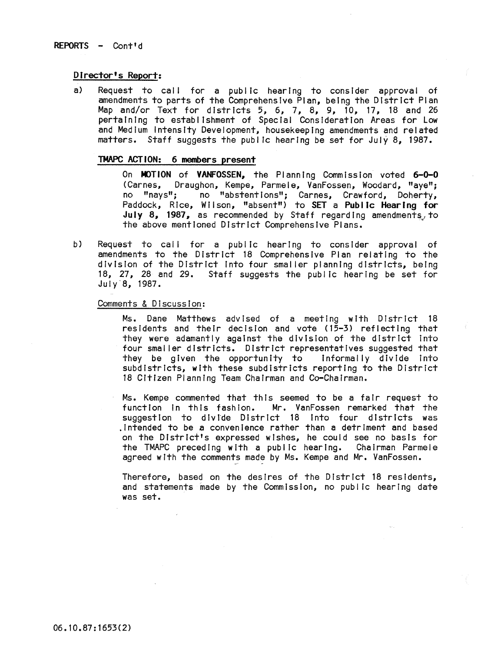# Director's Report:

a) Request to call for a public hearing to consider approval of amendments to parts of the Comprehensive Plan, being the District Plan Map and/or Text for districts 5, 6, 7, 8, 9, 10, 17, 18 and 26 pertaining to establishment of Special Consideration Areas for Low and Medium Intensity Development, housekeeping amendments and related matters. Staff suggests the public hearing be set for July 8, 1987.

# TMAPC ACTION: 6 members present

On MOTION of VANFOSSEN, the Planning Commission voted 6-0-0 (Carnes, Draughon, Kempe, Parmele, VanFossen, Woodard, "aye"; no "nays"; no "abstentions"; Carnes, Crawford, Doherty, Paddock, Rice, Wilson, "absent") to SET a Public Hearing for July 8, 1987, as recommended by Staff regarding amendments, to the above mentioned District Comprehensive Plans.

b) Request to call for a public hearing to consider approval of amendments to the District 18 Comprehensive Plan relating to the division of the District Into four smaller planning districts, being 18, 27, 28 and 29. Staff suggests the public hearing be set for July 8, 1987.

# Comments & Discussion:

Ms. Dane Matthews advised of a meeting with District 18 residents and their decision and vote (15-3) reflecting that they were adamantly against the division of the district into four smaller districts. District representatives suggested that they be given the opportunity to informally divide Into subdistricts, with these subdistricts reporting to the District 18 Citizen Planning Team Chairman and Co-Chairman.

Ms. Kempe commented that this seemed to be a fair request to function in this fashion. Mr. VanFossen remarked that the suggestion to divide District 18 into four districts was .Intended to be a convenience rather than a detriment and based on the District's expressed wishes, he could see no basis for the TMAPC preceding with a public hearing. Chairman Parmele agreed with the comments made by Ms. Kempe and Mr. VanFossen.

Therefore, based on the desires of the District 18 residents. and statements made by the Commission, no public hearing date was set.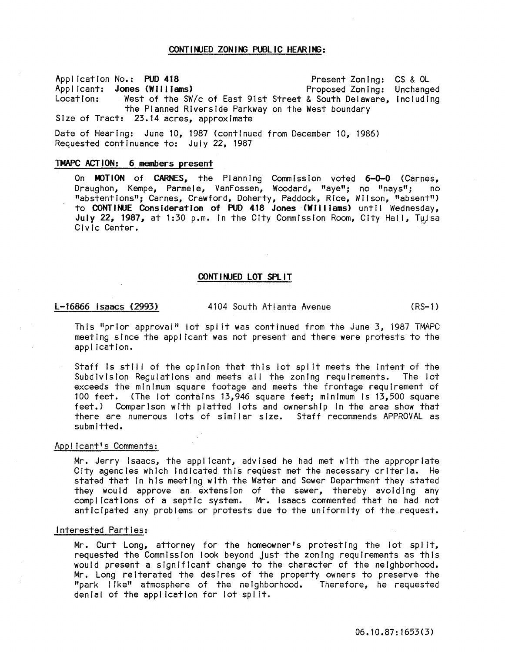# CONT I NUED ZON ING PUBLIC HEAR ING:

Application No.: PUD 418 Applicant: **Jones (Williams)**<br>Location: West of the SW/ Location: West of the SW/c of East 91st Street & South Delaware, Including the Planned Riverside Parkway on the West boundary Size of Tract: 23.14 acres, approximate Present Zoning: CS & OL Proposed Zoning: Unchanged

Date of Hearing: June 10, 1987 (continued from December 10, 1986) Requested continuance to: July 22, 1987

# TMAPC ACTION: 6 members present

On MOTION of CARNES, the Planning Commission voted 6-0-0 (Carnes,<br>Draughon, Kempe, Parmele, VanFossen, Woodard, "ave": no "navs": no Draughon, Kempe, Parmele, VanFossen, Woodard, "aye"; no "nays"; "abstentions"; Carnes, Crawford, Doherty, Paddock, Rice, Wilson, "absent") to CONTINUE Consideration of PUD 418 Jones (Williams) until Wednesday, July 22, 1987, at 1:30 p.m. in the City Commission Room, City Hall, Tulsa Civic Center.

## CONTINUED LOT SPLIT

l-16866 Isaacs (2993) 4104 South Atlanta Avenue (RS-1)

This "prior approval" lot spi It was continued from the June 3, 1987 TMAPC meeting since the applicant was not present and there were protests to the application.

Staff is still of the opinion that this lot split meets the intent of the Subdivision Regulations and meets all the zoning requirements. The lot exceeds the minimum square footage and meets the frontage requirement of 100 feet. (The lot contains 13,946 square feet; minimum is 13,500 square feet.) Comparison with platted lots and ownership in the area show that there are numerous lots of similar size. Staff recommends APPROVAL as submitted.

# Applicant's Comments:

Mr. Jerry Isaacs, the applicant, advised he had met with the appropriate City agencies which Indicated thfs request met the necessary criteria. He stated that in his meeting with the Water and Sewer Department they stated they would approve an extension of the sewer, thereby avoiding any complications of a septic system. Mr. Isaacs commented that he had not anticipated any problems or protests due to the uniformity of the request.

## Interested Parties:

Mr. Curt Long, attorney for the homeowner's protesting the lot spilt, requested the Commission look beyond Just the zoning requirements as this would present a significant change to the character of the neighborhood. Mr. Long reiterated the desires of the property owners to preserve the "park I Ike" atmosphere of the ne I ghborhood. Therefore, he requested denial of the application for lot split.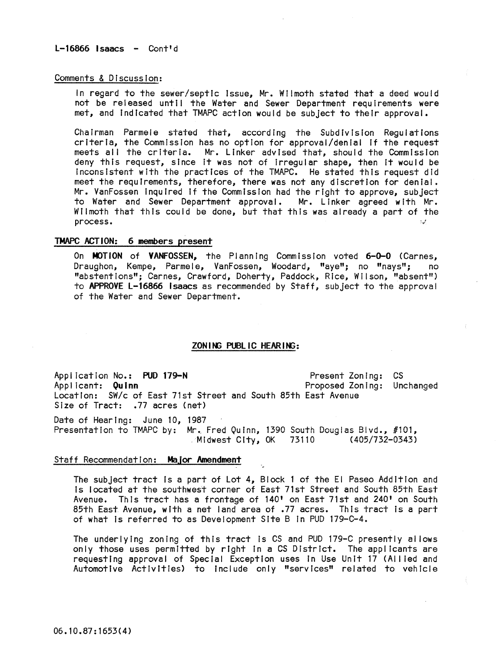L-16866 Isaacs - Cont'd

# Comments & Discussion:

In regard to the sewer/septic Issue, Mr. Wilmoth stated that a deed would not be released until the Water and Sewer Department requirements were met, and Indicated that TMAPC action would be subject to their approval.

Chairman Parmele stated that, according the Subdivision Reguiations criteria, the Commission has no option for approval/denial If the request meets all the criteria. Mr. Linker advised that, should the Commission deny this request, since It was not of Irregular shape, then It would be Inconsistent with the practices of the TMAPC. He stated this request did meet the requirements, therefore, there was not any discretion for denial. Mr. VanFossen Inquired If the Commission had the right to approve, subject to Water and Sewer Department approval. Mr. Linker agreed with Mr. Wilmoth that this could be done, but that this was already a part of the process.  $\mathcal{L}$ 

## TMAPC ACTION: 6 members present

On MOTION of VANFOSSEN, the Planning Commission voted 6-0-0 (Carnes, Draughon, Kempe, Parmele, VanFossen, Woodard, "aye"; no "nays"; no "abstentions"; Carnes, Crawford, Doherty, Paddock, Rice, Wilson, "absent") to APPROVE L-16866 Isaacs as recommended by Staff, subject to the approval of the Water and Sewer Department.

## ZONING PUBLIC HEARING:

Appl ication No.: PUD 179-N Applicant: Quinn Location: SW/c of East 71st Street and South 85th East Avenue Size of Tract: .77 acres (net) Present Zoning: CS Proposed Zoning: Unchanged

Date of Hearing: June 10, 1987 Presentation to TMAPC by: Mr. Fred Quinn, 1390 South Douglas Blvd., #101,<br>Midwest City, OK 73110 (405/732-0343)<sup>,</sup> (405/732-0343)

# Staff Recommendation: Major Amendment

The subject tract Is a part of Lot 4, Block 1 of the EI Paseo Addition and Is located at the southwest corner of East 71st Street and South 85th East Avenue. ThIs tract has a frontage of 140' on East 71st and 240' on South 85th East Avenue, with a net land area of .77 acres. This tract Is a part of what Is referred to as Development Site B In PUD 179-C-4.

The underlying zoning of this tract Is CS and PUD 179-C presently al lows only those uses permitted by rIght In a CS District. The applicants are requesting approval of Special Exception uses in Use Unit 17 (Allied and Automotive Activities) to include only "services" related to vehicle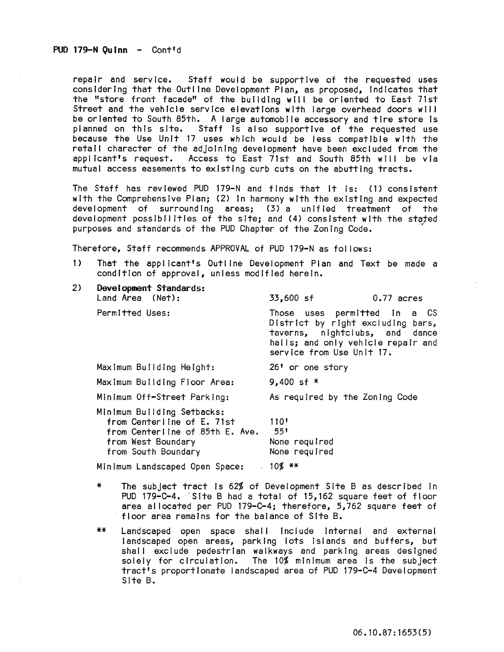repair and service. Staff would be supportive of the requested uses considering that the Outline Development Plan, as proposed, Indicates that the "store front facade" of the building will be oriented to East 71st Street and the vehicle service elevations with large overhead doors wil I be oriented to South 85th. A large automobile accessory and tire store Is planned on this site. Staff Is also supportive of the requested use because the Use Unit 17 uses which would be less compatible with the retail character of the adjoining development have been excluded from the<br>applicant's request. Access to East 71st and South 85th will be via Access to East 71st and South 85th will be via mutual access easements to existing curb cuts on the abutting tracts.

The Staff has reviewed PUD 179-N and finds that it is: (1) consistent with the Comprehensive Plan; (2) In harmony with the existing and expected development of surrounding areas; (3) a unified treatment of the development possibilities of the site; and (4) consistent with the stated purposes and standards of the PUD Chapter of the Zoning Code.

Therefore, Staff recommends APPROVAL of PUD 179-N as fol lows:

1) That the applicant's Outline Development Plan and Text be made a condition of approval, unless modified herein.

| 2) | Development Standards:<br>Land Area (Net):                                                                                               | 33,600 sf<br>$0.77$ acres                                                                                                                                              |  |  |
|----|------------------------------------------------------------------------------------------------------------------------------------------|------------------------------------------------------------------------------------------------------------------------------------------------------------------------|--|--|
|    | Permitted Uses:                                                                                                                          | Those uses permitted in a CS<br>District by right excluding bars,<br>taverns, nightclubs, and dance<br>halls; and only vehicle repair and<br>service from Use Unit 17. |  |  |
|    | Maximum Building Height:                                                                                                                 | 26' or one story                                                                                                                                                       |  |  |
|    | Maximum Building Floor Area:                                                                                                             | 9,400 sf $*$                                                                                                                                                           |  |  |
|    | Minimum Off-Street Parking:                                                                                                              | As required by the Zoning Code                                                                                                                                         |  |  |
|    | Minimum Building Setbacks:<br>from Centerline of E. 71st<br>from Centerline of 85th E. Ave.<br>from West Boundary<br>from South Boundary | 110 <sup>1</sup><br>551<br>None required<br>None required                                                                                                              |  |  |
|    | Minimum Landscaped Open Space:                                                                                                           | $-10\%$ **                                                                                                                                                             |  |  |

- \* The subject tract Is 62% of Development Site B as described In PUD 179-C-4. Site B had a total of 15,162 square feet of floor area al located per PUD 179-C-4; therefore, 5,762 square feet of floor area remains for the balance of Site B.
- \*\* landscaped open space shal I Include Internal and external landscaped open areas, parking lots islands and buffers, but shall exclude pedestrian walkways and parking areas designed solely for circulation. The 10% minimum area is the subject tract's proportionate landscaped area of PUD 179-C-4 Development Site B.

06.10.87:1653(5)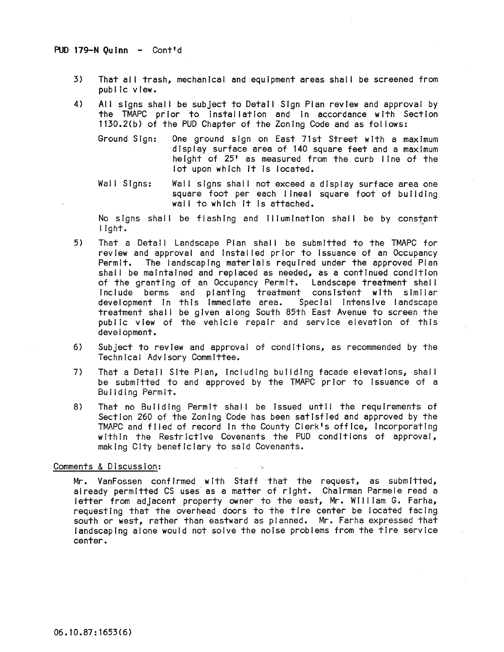# PUD 179-N Ouinn - Cont'd

- 3) That all trash, mechanical and equipment areas shall be screened from publIc view.
- 4) All signs shall be subject to Detail Sign Plan review and approval by the TMAPC prior to installation and in accordance with Section 1130.2(b) of the PUD Chapter of the Zoning Code and as fol lows!
	- Ground Sign: One ground sign on East 71st Street with a maximum display surface area of 140 square feet and a maximum height of 25' as measured from the curb line of the lot upon which It Is located.
	- Wall Signs: Wall signs shall not exceed a display surface area one square foot per each lineal square foot of building wall to which it is attached.

No signs shall be flashing and illumination shall be by constant light.

- 5) That a Detail Landscape Plan shall be submitted to the TMAPC for review and approval and Installed prior to Issuance of an Occupancy Permit. The landscaping materials required under the approved Plan shall be maintained and replaced as needed, as a continued condition of the granting of an Occupancy Permit. Landscape treatment shall Include berms and planting treatment consistent with similar development in this immediate area. Special intensive landscape treatment shall be given along South 85th East Avenue to screen the public view of the vehicle repair and service elevation of this development.
- 6) Subject to review and approval of conditions, as recommended by the Technical Advisory Committee.
- 7) That a Detail Site Plan, including building facade elevations, shall be submitted to and approved by the TMAPC prior to issuance of a Bulidlng Permit.
- 8) That no Building Permit shall be issued until the requirements of Section 260 of the Zoning Code has been satisfied and approved by the TMAPC and filed of record In the County Clerk's office, Incorporating within the Restrlctlve Covenants the PUD conditions of approval, making City beneficiary to said Covenants.

## Comments & Discussion:

Mr. VanFossen confirmed with Staff that the request, as submitted, already permitted CS uses as a matter of right. Chairman Parmele read a letter from adjacent property owner to the east, Mr. William G. Farha, requesting that the overhead doors to the tire center be located facing south or west, rather than eastward as planned. Mr. Farha expressed that landscaping alone would not solve the noise problems from the tire service center.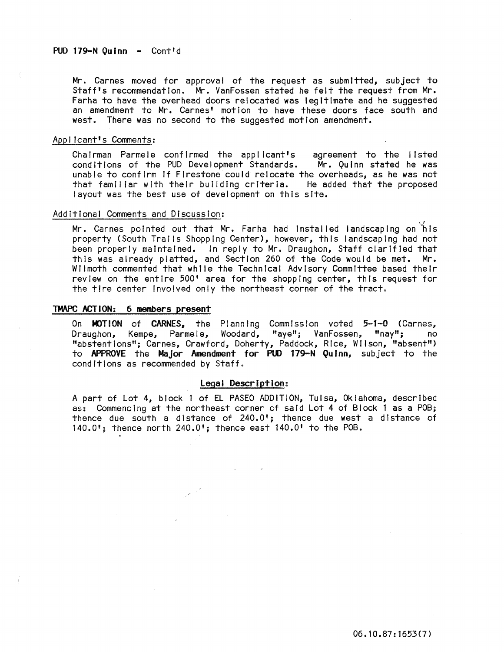Mr. Carnes moved for approval of the request as submitted, subject to Staff's recommendation. Mr. VanFossen stated he felt the request from Mr. Farha to have the overhead doors relocated was legitimate and he suggested an amendment to Mr. Carnes' motion to have these doors face south and west. There was no second to the suggested motion amendment.

## Applicant's Comments:

Chairman Parmele confirmed the applicant's agreement to the listed conditions of the PUD Development Standards. Mr. Quinn stated he was unable to confirm if Firestone could relocate the overheads, as he was not<br>that familiar with their building criteria. He added that the proposed that familiar with their building criteria. layout was the best use of development on this site.

# Additional Comments and Discussion:

Mr. Carnes pointed out that Mr. Farha had installed landscaping on his property (South Trails Shopping Center), however, this landscaping had not been properly maintained. In reply to Mr. Draughon, Staff clarified that this was already platted, and Section 260 of the Code would be met. Mr. Wilmoth commented that while the Technical Advisory Committee based their review on the entire 500' area for the shopping center, this request for the tire center involved only the northeast corner of the tract.

#### TMAPC ACTION: 6 members present

On MOTION of CARNES, the Planning Commission voted 5-1-0 (Carnes, Draughon, Kempe, Parmele, Woodard, "aye"; VanFossen, "nay"; no "abstentions"; Carnes, Crawford, Doherty, Paddock, Rice, Wilson, "absent") to APPROVE the Major Amendment for PUD 179-N Quinn, subject to the conditions as recommended by Staff.

# Legal Description:

A part of Lot 4, block 1 of EL PASEO ADDITION, Tulsa, Oklahoma, described as: Commencing at the northeast corner of said Lot 4 of Block 1 as a POB; thence due south a distance of 240.0'; thence due west a distance of 140.0'; thence north 240.0'; thence east 140.0' to the POB.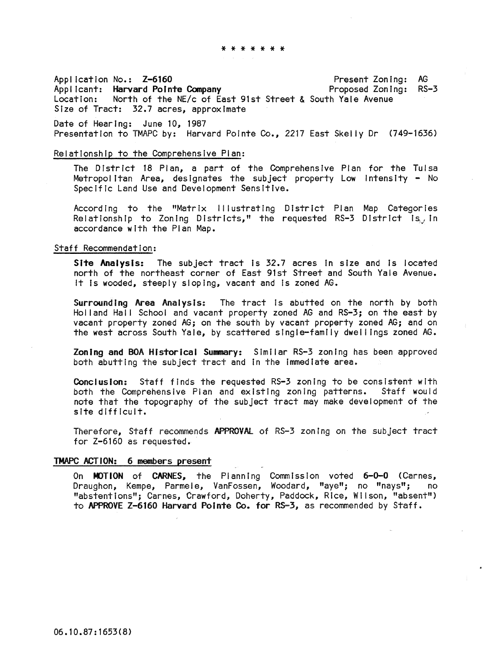\* \* \* \* \* \* \*

Application No.: Z-6160 Applicant: Harvard Pointe Company Location: North of the NE/c of East 91st Street & South Yale Avenue Size of Tract: 32.7 acres, approximate Present Zoning: AG Proposed Zoning: RS-3

Date of Hearing: June 10, 1987 Presentation to TMAPC by: Harvard Pointe Co., 2217 East Skelly Dr (749-1636)

# Relationship to the Comprehensive Plan:

The District 18 Plan, a part of the Comprehensive Plan for the Tulsa Metropolitan Area, designates the subject property Low Intensity - No Specific Land Use and Development Sensitive.

According to the "Matrix Illustrating District Plan Map Categories Relationship to Zoning Districts," the requested RS-3 District is, in accordance with the Plan Map.

## Staff Recommendation:

Site Analysis: The subject tract is 32.7 acres in size and is located north of the northeast corner of East 91st Street and South Yale Avenue. It is wooded, steeply sloping, vacant and is zoned AG.

Surrounding Area Analysis: The tract is abutted on the north by both Holland Hall School and vacant property zoned AG and RS-3; on the east by vacant property zoned AG; on the south by vacant property zoned AG; and on the west across South Yale, by scattered single-family dwel lings zoned AG.

Zoning and BOA Historical Summary: Similar RS-3 zoning has been approved both abutting the subject tract and in the immediate area.

Conclusion: Staff finds the requested RS-3 zoning to be consistent with both the Comprehensive Pian and existing zoning patterns. Staff would note that the topography of the subject tract may make development of the site difficult.

Therefore, Staff recommends APPROVAl of RS-3 zoning on the subject tract for Z-6160 as requested.

## TMAPC ACTION: 6 members present

On MOTION of CARNES, the Planning Commission voted 6-0-0 (Carnes, Draughon, Kempe, Parmele, VanFossen, Woodard, "aye"; no "nays"; no "abstentions"; Carnes, Crawford, Doherty, Paddock, Rice, Wilson, "absent") to APPROVE Z-6160 Harvard Pointe Co. for R5-3, as recommended by Staff.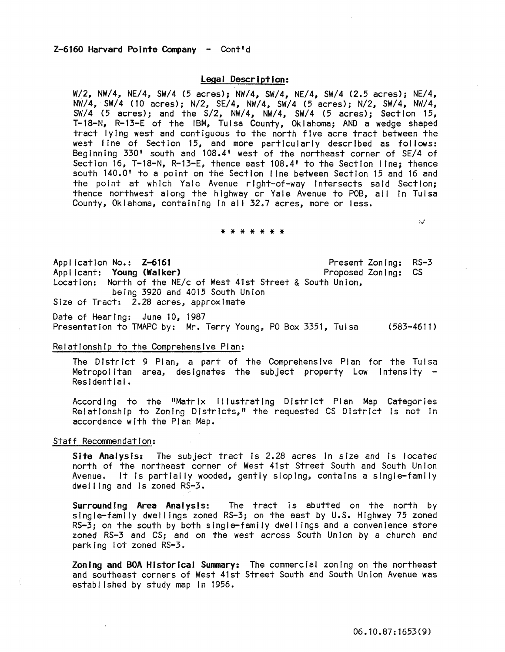# Legal Description:

W/2, NW/4, NE/4, SW/4 (5 acres); NW/4, SW/4, NE/4, SW/4 (2.5 acres); NE/4, NW/4, SW/4 (10 acres); N/2, SE/4, NW/4, SW/4 (5 acres); N/2, SW/4, NW/4, SW/4 (5 acres); and the S/2, NW/4, NW/4, SW/4 (5 acres); Section 15, T-18-N, R-13-E of the IBM, Tulsa County, Oklahoma; AND a wedge shaped tract lying west and contiguous to the north five acre tract between the west I ine of Section 15, and more particularly described as follows: Beginning 330' south and 108.4' west of the northeast corner of SE/4 of Section 16, T-18-N, R-13-E, thence east 108.4' to the Section line; thence south 140.0' to a point on the Section I ine between Section 15 and 16 and the point at which Yale Avenue right-of-way Intersects said Section; thence northwest along the highway or Yale Avenue to POB, all in Tulsa County, Oklahoma, containing in all 32.7 acres, more or less.

#### \* \* \* \* \* \* \*

Application No.: Z-6161 Applicant: Young (Walker) Location: North of the NE/c of West 41st Street & South Union, being 3920 and 4015 South Union Size of Tract: 2.28 acres, approximate Present Zoning: RS-3 Proposed Zoning: CS

Date of Hearing: June 10, 1987 Presentation to TMAPC by: Mr. Terry Young, PO Box 3351, Tulsa (583-4611)

# Relationship to the Comprehensive Plan:

The District 9 Plan, a part of the Comprehensive Plan for the Tulsa Metropolitan area, designates the subject property Low Intensity -<br>Residential.

According to the "Matrix Illustrating District Plan Map Categories Relationship to Zoning DIstricts," the requested CS District Is not In accordance with the Plan Map.

## Staff Recommendation:

Site Analysis: The subject tract is 2.28 acres in size and is located north of the northeast corner of West 41st Street South and South Union Avenue. It Is partially wooded, gently sloping, contains a single-family dwel ling and Is zoned RS-3.

Surrounding Area Analysis: The tract is abutted on the north by single-family dwellings zoned RS-3; on the east by U.S. Highway 75 zoned RS-3; on the south by both single-family dwellings and a convenience store zoned RS-3 and CS; and on the west across South Union by a church and parking lot zoned RS-3.

Zoning and BOA Historical Summary: The commercial zoning on the northeast and southeast corners of West 41st Street South and South Union Avenue was establ lshed by study map In 1956.

 $\mathcal{G}(\mathcal{J})$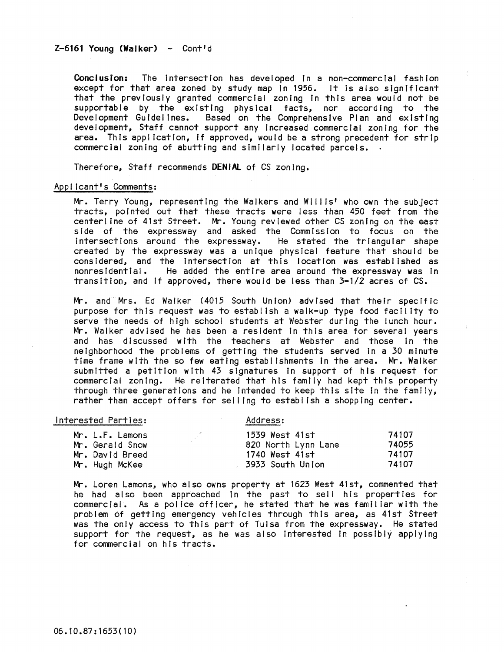# $Z-6161$  Young (Walker) - Cont<sup>1</sup>d

COnclusion: The Intersection has developed In a non-commercial fashion except for that area zoned by study map In 1956. It Is also significant that the previously granted commercial zoning In this area would not be supportable by the existing physical facts, nor according to the Development Guidelines. Based on the Comprehensive Plan and existing development, Staff cannot support any Increased commercial zoning for the area. This application, If approved, would be a strong precedent for strip commercial zoning of abutting and similarly located parcels.

Therefore, Staff recommends **DENiAl** of CS zoning.

## Applicant's Comments:

Mr. Terry Young, representing the Walkers and Willis' who own the subject tracts, pointed out that these tracts were less than 450 feet from the centerline of 41st Street. Mr. Young reviewed other CS zoning on the east side of the expressway and asked the Commission to focus on the Intersections around the expressway. He stated the triangular shape created by the expressway was a unique physical feature that should be considered, and the Intersection at this location was established as non residential. He added the entire area around the expressway was in transltloo, and If approved, there would be less than 3-1/2 acres of CS.

Mr. and Mrs. Ed Walker (4015 South Union) advised that their speclf Ic purpose for this request was to establish a walk-up type food facility to serve the needs of high school students at Webster during the lunch hour. Mr. Walker advised he has been a resident In this area for several years and has discussed with the teachers at Webster and those In the neighborhood the problems of getting the students served in a 30 minute time frame with the so few eating establishments In the area. Mr. Walker submitted a petition with 43 signatures in support of his request for commercial zoning. He reiterated that his family had kept this property through three generations and he Intended to keep this site In the famliy, rather than accept offers for seiling to establ Ish a shopping center.

## Interested Parties: Address:

| Mr. L.F. Lamons | 1539 West 41st      | 74107 |
|-----------------|---------------------|-------|
| Mr. Gerald Snow | 820 North Lynn Lane | 74055 |
| Mr. David Breed | 1740 West 41st      | 74107 |
| Mr. Hugh McKee  | -3933 South Union   | 74107 |

Mr. Loren Lamons, who also owns property at 1623 West 41st, commented that he had also been approached in the past to sell his properties for commercial. As a police officer, he stated that he was familiar with the problem of getting emergency vehicles through this area, as 41st Street was the only access to this part of Tulsa from the expressway. He stated support for the request, as he was also Interested In possibly applying for commercial on his tracts.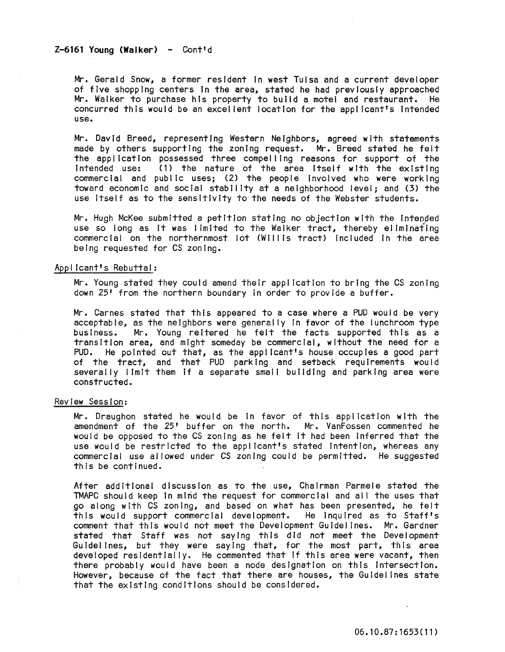# $Z-6161$  Young (Walker) - Cont'd

Mr. Gerald Snow, a former resident In west Tulsa and a current developer of five shopping centers In the area, stated he had previously approached Mr. Walker to purchase his property to build a motel and restaurant. He concurred this would be an excel lent location for the applicant's Intended use.

Mr. David Breed, representing Western Neighbors, agreed with statements made by others supporting the zoning request. Mr. Breed stated he felt the application possessed three compelling reasons for support of the intended use: (1) the nature of the area itself with the existing (1) the nature of the area itself with the existing commercial and public uses; (2) the people Involved who were working toward economic and social stability at a neighborhood level; and (3) the use Itself as to the sensitivity to the needs of the Webster students.

Mr. Hugh McKee submitted a petition stating no objection with the Intenyed use so long as it was limited to the Walker tract, thereby eliminating commercial on the northernmost lot (Willis tract) included in the area being requested for CS zoning.

## Applicant's Rebuttal:

Mr. Young stated they could amend their application to bring the CS zoning down 25' from the northern boundary in order to provide a buffer.

Mr. Carnes stated that this appeared to a case where a PUD would be very acceptable, as the neighbors were generally in favor of the lunchroom type business. Mr. Young reltered he felt the facts supported this as a transition area, and might someday be commercial, without the need for a PUD. He pointed out that, as the applicant's house occupies a good part of the tract, and that PUD parking and setback requirements would severally limit them If a separate small building and parking area were constructed.

## Review Session:

Mr. Draughon stated he would be In favor of this application with the amendment of the 25' buffer on the north. Mr. VanFossen commented he would be opposed to the CS zoning as he felt It had been Inferred that the use would be restricted to the appl icant's stated Intention, whereas any commercial use allowed under CS zoning could be permitted. He suggested this be continued.

After additional discussIon as to the use, Chairman Parmele stated the TMAPC should keep In mind the request for commercial and all the uses that go along with CS zoning, and based on what has been presented, he felt<br>this would support commercial development. He inquired as to Staff's this would support commercial development. comment that this would not meet the Development Guldel ines. Mr. Gardner stated that Staff was not saying this did not meet the Development Guidelines, but they were saying that, for the most part, this area developed residentially. He commented that if this area were vacant, then there probably would have been a node designation on this Intersection. However, because of the fact that there are houses, the Guidelines state that the existing condItions should be considered.